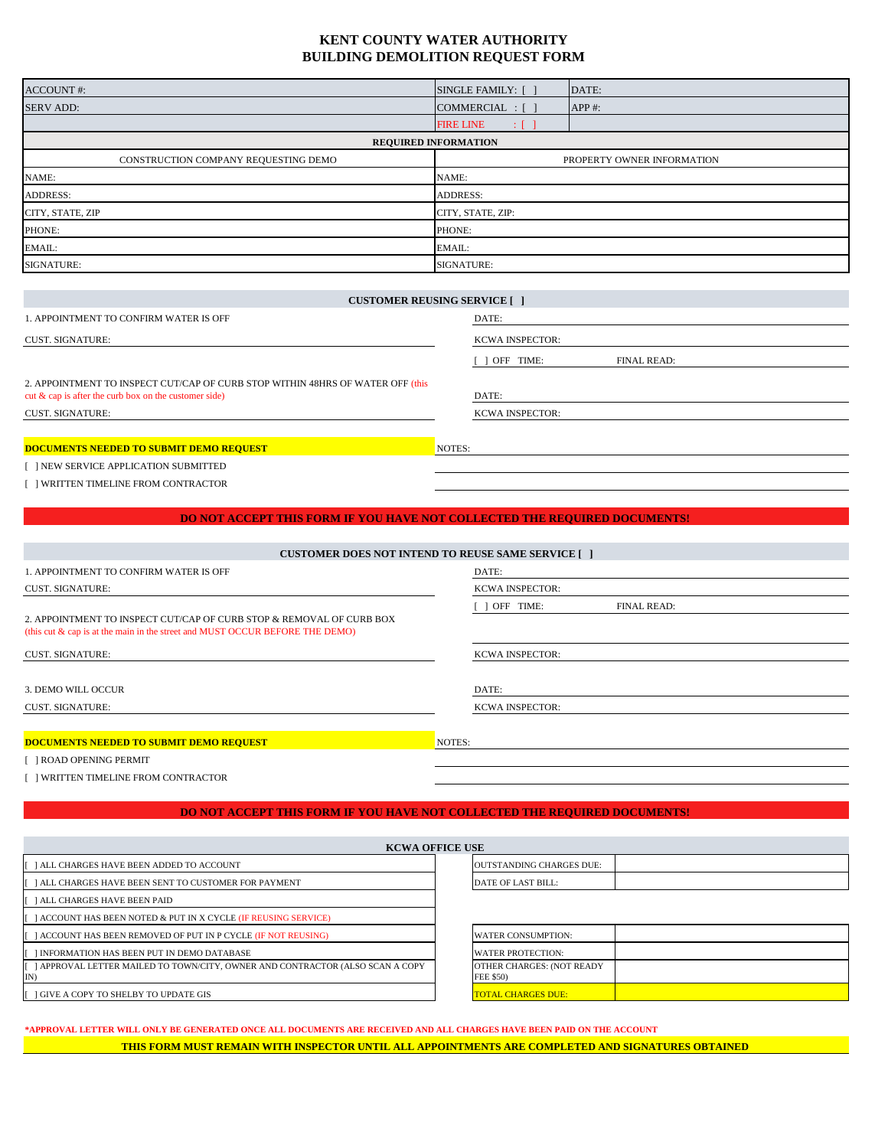# **KENT COUNTY WATER AUTHORITY BUILDING DEMOLITION REQUEST FORM**

| <b>ACCOUNT</b> #:                    | SINGLE FAMILY: [ ]     | DATE:                      |  |  |
|--------------------------------------|------------------------|----------------------------|--|--|
| <b>SERV ADD:</b>                     | COMMERCIAL : [ ]       | $APP$ #:                   |  |  |
|                                      | <b>FIRE LINE</b><br>πf |                            |  |  |
| <b>REQUIRED INFORMATION</b>          |                        |                            |  |  |
| CONSTRUCTION COMPANY REQUESTING DEMO |                        | PROPERTY OWNER INFORMATION |  |  |
| NAME:                                | NAME:                  |                            |  |  |
| <b>ADDRESS:</b>                      | <b>ADDRESS:</b>        |                            |  |  |
| CITY, STATE, ZIP                     | CITY, STATE, ZIP:      |                            |  |  |
| PHONE:                               | PHONE:                 |                            |  |  |
| EMAIL:                               | EMAIL:                 |                            |  |  |
| SIGNATURE:                           | <b>SIGNATURE:</b>      |                            |  |  |

| <b>CUSTOMER REUSING SERVICE</b> [ ]                                                                                                        |                          |  |
|--------------------------------------------------------------------------------------------------------------------------------------------|--------------------------|--|
| 1. APPOINTMENT TO CONFIRM WATER IS OFF                                                                                                     | DATE:                    |  |
| <b>CUST. SIGNATURE:</b>                                                                                                                    | <b>KCWA INSPECTOR:</b>   |  |
|                                                                                                                                            | OFF TIME:<br>FINAL READ: |  |
| 2. APPOINTMENT TO INSPECT CUT/CAP OF CURB STOP WITHIN 48HRS OF WATER OFF (this<br>cut $\&$ cap is after the curb box on the customer side) | DATE:                    |  |
| <b>CUST. SIGNATURE:</b>                                                                                                                    | <b>KCWA INSPECTOR:</b>   |  |
|                                                                                                                                            |                          |  |
| <b>DOCUMENTS NEEDED TO SUBMIT DEMO REQUEST</b>                                                                                             | NOTES:                   |  |

### **DOCUMENTS NEEDED TO SUBMIT DEMO REQUEST**

[ ] NEW SERVICE APPLICATION SUBMITTED

[ ] WRITTEN TIMELINE FROM CONTRACTOR

#### **DO NOT ACCEPT THIS FORM IF YOU HAVE NOT COLLECTED THE REQUIRED DOCUMENTS!**

| <b>CUSTOMER DOES NOT INTEND TO REUSE SAME SERVICE</b> [1                                                                                                |                                 |  |
|---------------------------------------------------------------------------------------------------------------------------------------------------------|---------------------------------|--|
| 1. APPOINTMENT TO CONFIRM WATER IS OFF                                                                                                                  | DATE:                           |  |
| <b>CUST. SIGNATURE:</b>                                                                                                                                 | <b>KCWA INSPECTOR:</b>          |  |
| 2. APPOINTMENT TO INSPECT CUT/CAP OF CURB STOP & REMOVAL OF CURB BOX<br>(this cut $\&$ cap is at the main in the street and MUST OCCUR BEFORE THE DEMO) | <b>FINAL READ:</b><br>OFF TIME: |  |
| <b>CUST. SIGNATURE:</b>                                                                                                                                 | <b>KCWA INSPECTOR:</b>          |  |
| 3. DEMO WILL OCCUR                                                                                                                                      | DATE:                           |  |
| <b>CUST. SIGNATURE:</b>                                                                                                                                 | <b>KCWA INSPECTOR:</b>          |  |
| <b>DOCUMENTS NEEDED TO SUBMIT DEMO REQUEST</b>                                                                                                          | NOTES:                          |  |
| [ ] ROAD OPENING PERMIT                                                                                                                                 |                                 |  |
| I WRITTEN TIMELINE FROM CONTRACTOR                                                                                                                      |                                 |  |

#### **DO NOT ACCEPT THIS FORM IF YOU HAVE NOT COLLECTED THE REQUIRED DOCUMENTS!**

| <b>KCWA OFFICE USE</b>                                                                 |                                               |  |  |
|----------------------------------------------------------------------------------------|-----------------------------------------------|--|--|
| ALL CHARGES HAVE BEEN ADDED TO ACCOUNT                                                 | <b>OUTSTANDING CHARGES DUE:</b>               |  |  |
| [ ] ALL CHARGES HAVE BEEN SENT TO CUSTOMER FOR PAYMENT                                 | DATE OF LAST BILL:                            |  |  |
| <b>IF TALL CHARGES HAVE BEEN PAID</b>                                                  |                                               |  |  |
| [[ ] ACCOUNT HAS BEEN NOTED & PUT IN X CYCLE (IF REUSING SERVICE)                      |                                               |  |  |
| [[ ] ACCOUNT HAS BEEN REMOVED OF PUT IN P CYCLE (IF NOT REUSING)                       | <b>WATER CONSUMPTION:</b>                     |  |  |
| [[ ] INFORMATION HAS BEEN PUT IN DEMO DATABASE                                         | <b>WATER PROTECTION:</b>                      |  |  |
| [[ ] APPROVAL LETTER MAILED TO TOWN/CITY, OWNER AND CONTRACTOR (ALSO SCAN A COPY<br>IN | OTHER CHARGES: (NOT READY<br><b>FEE \$50)</b> |  |  |
| <b>IF I GIVE A COPY TO SHELBY TO UPDATE GIS</b>                                        | <b>TOTAL CHARGES DUE:</b>                     |  |  |

**\*APPROVAL LETTER WILL ONLY BE GENERATED ONCE ALL DOCUMENTS ARE RECEIVED AND ALL CHARGES HAVE BEEN PAID ON THE ACCOUNT THIS FORM MUST REMAIN WITH INSPECTOR UNTIL ALL APPOINTMENTS ARE COMPLETED AND SIGNATURES OBTAINED**